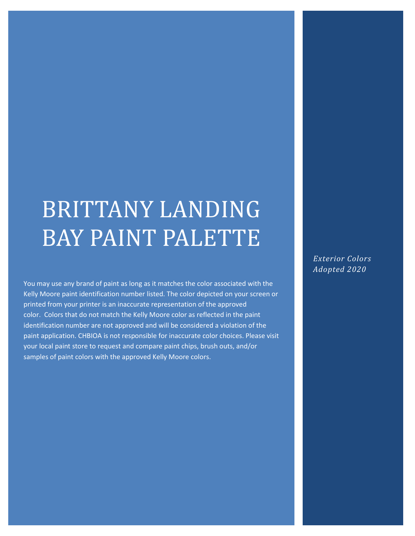# BRITTANY LANDING BAY PAINT PALETTE

You may use any brand of paint as long as it matches the color associated with the Kelly Moore paint identification number listed. The color depicted on your screen or printed from your printer is an inaccurate representation of the approved color. Colors that do not match the Kelly Moore color as reflected in the paint identification number are not approved and will be considered a violation of the paint application. CHBIOA is not responsible for inaccurate color choices. Please visit your local paint store to request and compare paint chips, brush outs, and/or samples of paint colors with the approved Kelly Moore colors.

*Exterior Colors Adopted 2020*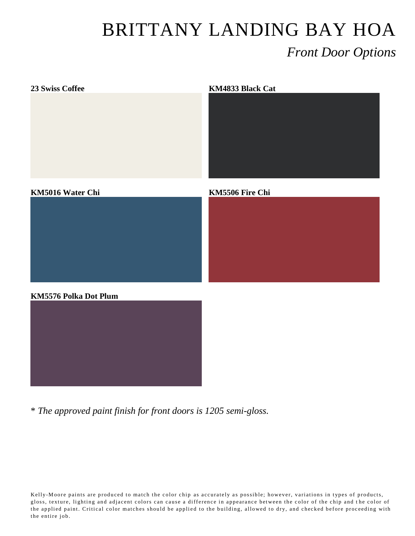### BRITTANY LANDING BAY HOA *Front Door Options*



\* *The approved paint finish for front doors is 1205 semi-gloss.*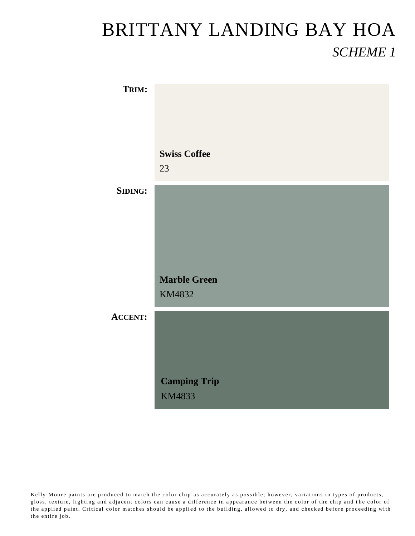#### BRITTANY LANDING BAY HOA *SCHEME 1*

| TRIM:          |                     |
|----------------|---------------------|
|                |                     |
|                |                     |
|                | <b>Swiss Coffee</b> |
|                | 23                  |
| <b>SIDING:</b> |                     |
|                |                     |
|                |                     |
|                |                     |
|                | <b>Marble Green</b> |
|                | KM4832              |
| <b>ACCENT:</b> |                     |
|                |                     |
|                |                     |
|                | <b>Camping Trip</b> |
|                | KM4833              |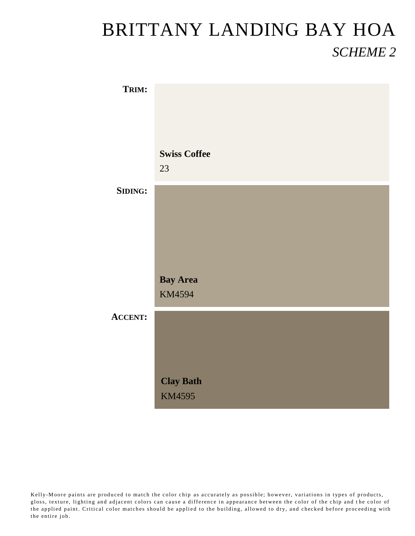#### BRITTANY LANDING BAY HOA *SCHEME 2*

| TRIM:          |                     |
|----------------|---------------------|
|                |                     |
|                |                     |
|                | <b>Swiss Coffee</b> |
|                | 23                  |
| <b>SIDING:</b> |                     |
|                |                     |
|                |                     |
|                |                     |
|                | <b>Bay Area</b>     |
|                | KM4594              |
| <b>ACCENT:</b> |                     |
|                |                     |
|                |                     |
|                | <b>Clay Bath</b>    |
|                | <b>KM4595</b>       |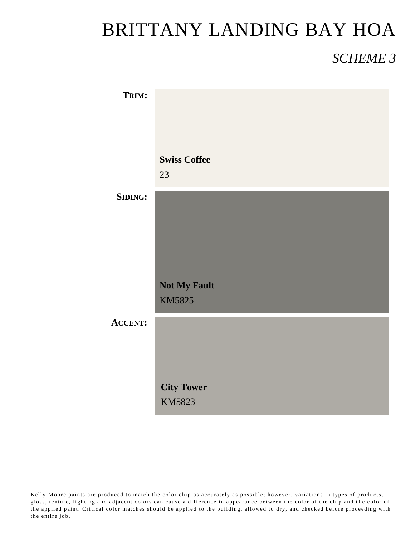## BRITTANY LANDING BAY HOA

#### *SCHEME 3*